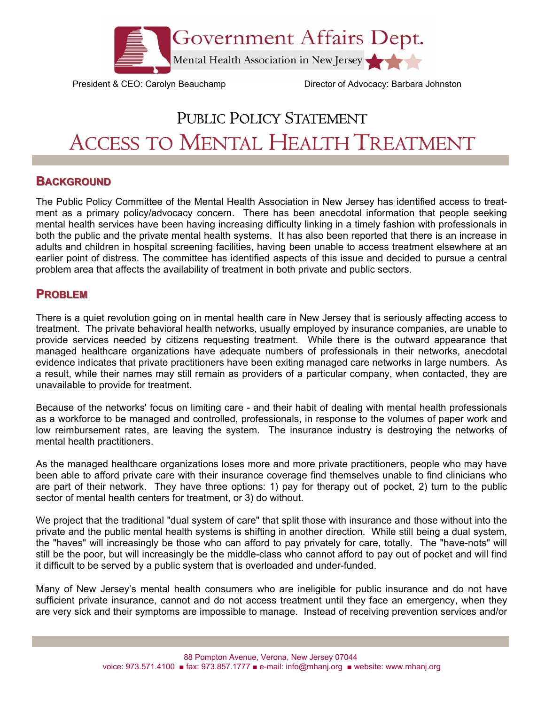

President & CEO: Carolyn Beauchamp Director of Advocacy: Barbara Johnston

# PUBLIC POLICY STATEMENT ACCESS TO MENTAL HEALTH TREATMENT

# **BACKGROUND**

The Public Policy Committee of the Mental Health Association in New Jersey has identified access to treatment as a primary policy/advocacy concern. There has been anecdotal information that people seeking mental health services have been having increasing difficulty linking in a timely fashion with professionals in both the public and the private mental health systems. It has also been reported that there is an increase in adults and children in hospital screening facilities, having been unable to access treatment elsewhere at an earlier point of distress. The committee has identified aspects of this issue and decided to pursue a central problem area that affects the availability of treatment in both private and public sectors.

# **PROBLEM**

There is a quiet revolution going on in mental health care in New Jersey that is seriously affecting access to treatment. The private behavioral health networks, usually employed by insurance companies, are unable to provide services needed by citizens requesting treatment. While there is the outward appearance that managed healthcare organizations have adequate numbers of professionals in their networks, anecdotal evidence indicates that private practitioners have been exiting managed care networks in large numbers. As a result, while their names may still remain as providers of a particular company, when contacted, they are unavailable to provide for treatment.

Because of the networks' focus on limiting care - and their habit of dealing with mental health professionals as a workforce to be managed and controlled, professionals, in response to the volumes of paper work and low reimbursement rates, are leaving the system. The insurance industry is destroying the networks of mental health practitioners.

As the managed healthcare organizations loses more and more private practitioners, people who may have been able to afford private care with their insurance coverage find themselves unable to find clinicians who are part of their network. They have three options: 1) pay for therapy out of pocket, 2) turn to the public sector of mental health centers for treatment, or 3) do without.

We project that the traditional "dual system of care" that split those with insurance and those without into the private and the public mental health systems is shifting in another direction. While still being a dual system, the "haves" will increasingly be those who can afford to pay privately for care, totally. The "have-nots" will still be the poor, but will increasingly be the middle-class who cannot afford to pay out of pocket and will find it difficult to be served by a public system that is overloaded and under-funded.

Many of New Jersey's mental health consumers who are ineligible for public insurance and do not have sufficient private insurance, cannot and do not access treatment until they face an emergency, when they are very sick and their symptoms are impossible to manage. Instead of receiving prevention services and/or